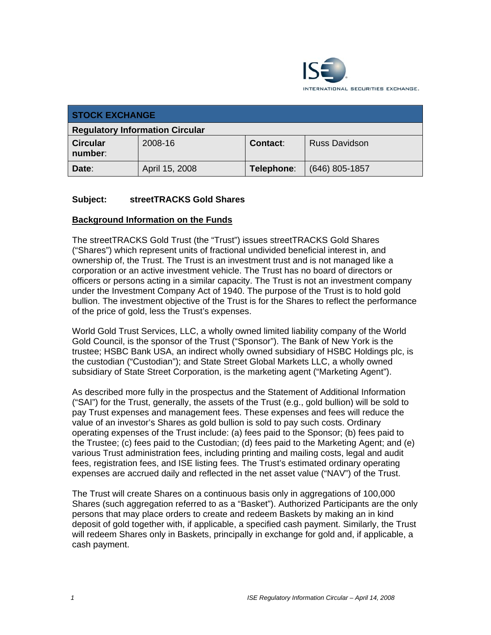

| <b>STOCK EXCHANGE</b>                  |                |            |                      |  |
|----------------------------------------|----------------|------------|----------------------|--|
| <b>Regulatory Information Circular</b> |                |            |                      |  |
| <b>Circular</b><br>number:             | 2008-16        | Contact:   | <b>Russ Davidson</b> |  |
| Date:                                  | April 15, 2008 | Telephone: | $(646)$ 805-1857     |  |

### **Subject: streetTRACKS Gold Shares**

#### **Background Information on the Funds**

The streetTRACKS Gold Trust (the "Trust") issues streetTRACKS Gold Shares ("Shares") which represent units of fractional undivided beneficial interest in, and ownership of, the Trust. The Trust is an investment trust and is not managed like a corporation or an active investment vehicle. The Trust has no board of directors or officers or persons acting in a similar capacity. The Trust is not an investment company under the Investment Company Act of 1940. The purpose of the Trust is to hold gold bullion. The investment objective of the Trust is for the Shares to reflect the performance of the price of gold, less the Trust's expenses.

World Gold Trust Services, LLC, a wholly owned limited liability company of the World Gold Council, is the sponsor of the Trust ("Sponsor"). The Bank of New York is the trustee; HSBC Bank USA, an indirect wholly owned subsidiary of HSBC Holdings plc, is the custodian ("Custodian"); and State Street Global Markets LLC, a wholly owned subsidiary of State Street Corporation, is the marketing agent ("Marketing Agent").

As described more fully in the prospectus and the Statement of Additional Information ("SAI") for the Trust, generally, the assets of the Trust (e.g., gold bullion) will be sold to pay Trust expenses and management fees. These expenses and fees will reduce the value of an investor's Shares as gold bullion is sold to pay such costs. Ordinary operating expenses of the Trust include: (a) fees paid to the Sponsor; (b) fees paid to the Trustee; (c) fees paid to the Custodian; (d) fees paid to the Marketing Agent; and (e) various Trust administration fees, including printing and mailing costs, legal and audit fees, registration fees, and ISE listing fees. The Trust's estimated ordinary operating expenses are accrued daily and reflected in the net asset value ("NAV") of the Trust.

The Trust will create Shares on a continuous basis only in aggregations of 100,000 Shares (such aggregation referred to as a "Basket"). Authorized Participants are the only persons that may place orders to create and redeem Baskets by making an in kind deposit of gold together with, if applicable, a specified cash payment. Similarly, the Trust will redeem Shares only in Baskets, principally in exchange for gold and, if applicable, a cash payment.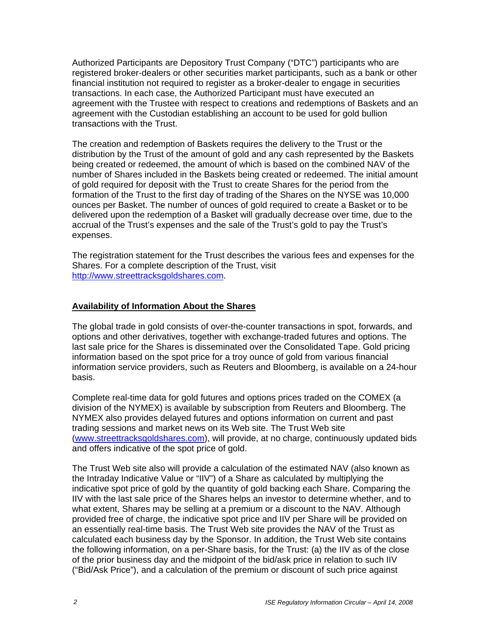Authorized Participants are Depository Trust Company ("DTC") participants who are registered broker-dealers or other securities market participants, such as a bank or other financial institution not required to register as a broker-dealer to engage in securities transactions. In each case, the Authorized Participant must have executed an agreement with the Trustee with respect to creations and redemptions of Baskets and an agreement with the Custodian establishing an account to be used for gold bullion transactions with the Trust.

The creation and redemption of Baskets requires the delivery to the Trust or the distribution by the Trust of the amount of gold and any cash represented by the Baskets being created or redeemed, the amount of which is based on the combined NAV of the number of Shares included in the Baskets being created or redeemed. The initial amount of gold required for deposit with the Trust to create Shares for the period from the formation of the Trust to the first day of trading of the Shares on the NYSE was 10,000 ounces per Basket. The number of ounces of gold required to create a Basket or to be delivered upon the redemption of a Basket will gradually decrease over time, due to the accrual of the Trust's expenses and the sale of the Trust's gold to pay the Trust's expenses.

The registration statement for the Trust describes the various fees and expenses for the Shares. For a complete description of the Trust, visit http://www.streettracksgoldshares.com.

## **Availability of Information About the Shares**

The global trade in gold consists of over-the-counter transactions in spot, forwards, and options and other derivatives, together with exchange-traded futures and options. The last sale price for the Shares is disseminated over the Consolidated Tape. Gold pricing information based on the spot price for a troy ounce of gold from various financial information service providers, such as Reuters and Bloomberg, is available on a 24-hour basis.

Complete real-time data for gold futures and options prices traded on the COMEX (a division of the NYMEX) is available by subscription from Reuters and Bloomberg. The NYMEX also provides delayed futures and options information on current and past trading sessions and market news on its Web site. The Trust Web site (www.streettracksgoldshares.com), will provide, at no charge, continuously updated bids and offers indicative of the spot price of gold.

The Trust Web site also will provide a calculation of the estimated NAV (also known as the Intraday Indicative Value or "IIV") of a Share as calculated by multiplying the indicative spot price of gold by the quantity of gold backing each Share. Comparing the IIV with the last sale price of the Shares helps an investor to determine whether, and to what extent, Shares may be selling at a premium or a discount to the NAV. Although provided free of charge, the indicative spot price and IIV per Share will be provided on an essentially real-time basis. The Trust Web site provides the NAV of the Trust as calculated each business day by the Sponsor. In addition, the Trust Web site contains the following information, on a per-Share basis, for the Trust: (a) the IIV as of the close of the prior business day and the midpoint of the bid/ask price in relation to such IIV ("Bid/Ask Price"), and a calculation of the premium or discount of such price against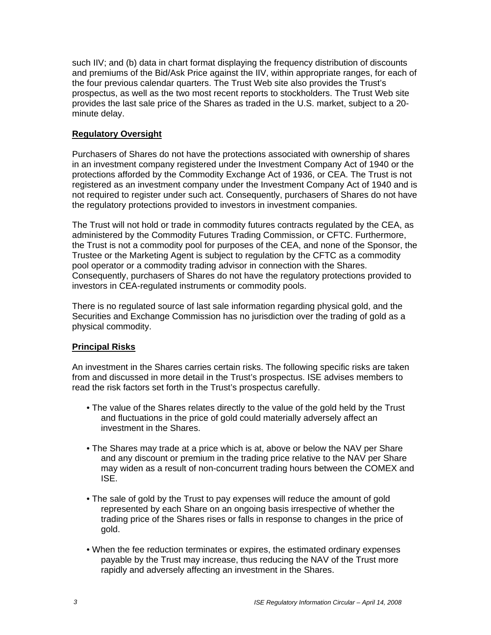such IIV; and (b) data in chart format displaying the frequency distribution of discounts and premiums of the Bid/Ask Price against the IIV, within appropriate ranges, for each of the four previous calendar quarters. The Trust Web site also provides the Trust's prospectus, as well as the two most recent reports to stockholders. The Trust Web site provides the last sale price of the Shares as traded in the U.S. market, subject to a 20 minute delay.

### **Regulatory Oversight**

Purchasers of Shares do not have the protections associated with ownership of shares in an investment company registered under the Investment Company Act of 1940 or the protections afforded by the Commodity Exchange Act of 1936, or CEA. The Trust is not registered as an investment company under the Investment Company Act of 1940 and is not required to register under such act. Consequently, purchasers of Shares do not have the regulatory protections provided to investors in investment companies.

The Trust will not hold or trade in commodity futures contracts regulated by the CEA, as administered by the Commodity Futures Trading Commission, or CFTC. Furthermore, the Trust is not a commodity pool for purposes of the CEA, and none of the Sponsor, the Trustee or the Marketing Agent is subject to regulation by the CFTC as a commodity pool operator or a commodity trading advisor in connection with the Shares. Consequently, purchasers of Shares do not have the regulatory protections provided to investors in CEA-regulated instruments or commodity pools.

There is no regulated source of last sale information regarding physical gold, and the Securities and Exchange Commission has no jurisdiction over the trading of gold as a physical commodity.

### **Principal Risks**

An investment in the Shares carries certain risks. The following specific risks are taken from and discussed in more detail in the Trust's prospectus. ISE advises members to read the risk factors set forth in the Trust's prospectus carefully.

- The value of the Shares relates directly to the value of the gold held by the Trust and fluctuations in the price of gold could materially adversely affect an investment in the Shares.
- The Shares may trade at a price which is at, above or below the NAV per Share and any discount or premium in the trading price relative to the NAV per Share may widen as a result of non-concurrent trading hours between the COMEX and ISE.
- The sale of gold by the Trust to pay expenses will reduce the amount of gold represented by each Share on an ongoing basis irrespective of whether the trading price of the Shares rises or falls in response to changes in the price of gold.
- When the fee reduction terminates or expires, the estimated ordinary expenses payable by the Trust may increase, thus reducing the NAV of the Trust more rapidly and adversely affecting an investment in the Shares.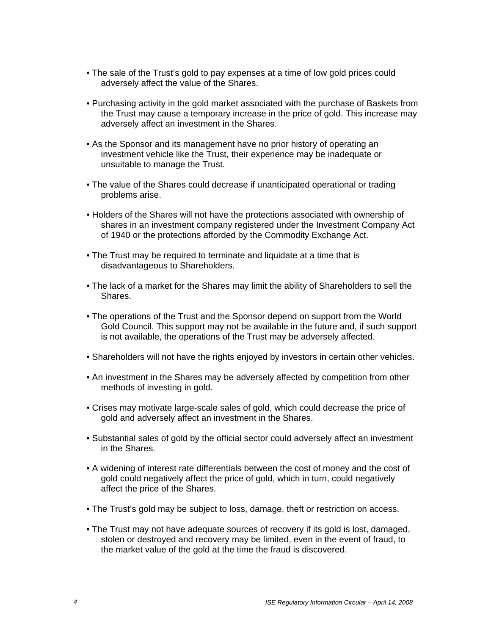- The sale of the Trust's gold to pay expenses at a time of low gold prices could adversely affect the value of the Shares.
- Purchasing activity in the gold market associated with the purchase of Baskets from the Trust may cause a temporary increase in the price of gold. This increase may adversely affect an investment in the Shares.
- As the Sponsor and its management have no prior history of operating an investment vehicle like the Trust, their experience may be inadequate or unsuitable to manage the Trust.
- The value of the Shares could decrease if unanticipated operational or trading problems arise.
- Holders of the Shares will not have the protections associated with ownership of shares in an investment company registered under the Investment Company Act of 1940 or the protections afforded by the Commodity Exchange Act.
- The Trust may be required to terminate and liquidate at a time that is disadvantageous to Shareholders.
- The lack of a market for the Shares may limit the ability of Shareholders to sell the Shares.
- The operations of the Trust and the Sponsor depend on support from the World Gold Council. This support may not be available in the future and, if such support is not available, the operations of the Trust may be adversely affected.
- Shareholders will not have the rights enjoyed by investors in certain other vehicles.
- An investment in the Shares may be adversely affected by competition from other methods of investing in gold.
- Crises may motivate large-scale sales of gold, which could decrease the price of gold and adversely affect an investment in the Shares.
- Substantial sales of gold by the official sector could adversely affect an investment in the Shares.
- A widening of interest rate differentials between the cost of money and the cost of gold could negatively affect the price of gold, which in turn, could negatively affect the price of the Shares.
- The Trust's gold may be subject to loss, damage, theft or restriction on access.
- The Trust may not have adequate sources of recovery if its gold is lost, damaged, stolen or destroyed and recovery may be limited, even in the event of fraud, to the market value of the gold at the time the fraud is discovered.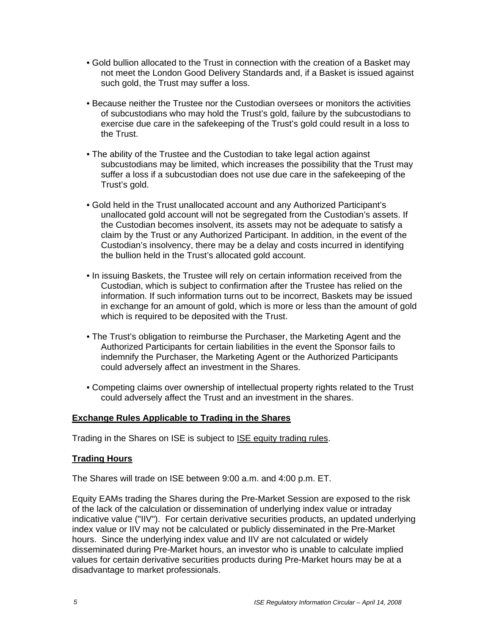- Gold bullion allocated to the Trust in connection with the creation of a Basket may not meet the London Good Delivery Standards and, if a Basket is issued against such gold, the Trust may suffer a loss.
- Because neither the Trustee nor the Custodian oversees or monitors the activities of subcustodians who may hold the Trust's gold, failure by the subcustodians to exercise due care in the safekeeping of the Trust's gold could result in a loss to the Trust.
- The ability of the Trustee and the Custodian to take legal action against subcustodians may be limited, which increases the possibility that the Trust may suffer a loss if a subcustodian does not use due care in the safekeeping of the Trust's gold.
- Gold held in the Trust unallocated account and any Authorized Participant's unallocated gold account will not be segregated from the Custodian's assets. If the Custodian becomes insolvent, its assets may not be adequate to satisfy a claim by the Trust or any Authorized Participant. In addition, in the event of the Custodian's insolvency, there may be a delay and costs incurred in identifying the bullion held in the Trust's allocated gold account.
- In issuing Baskets, the Trustee will rely on certain information received from the Custodian, which is subject to confirmation after the Trustee has relied on the information. If such information turns out to be incorrect, Baskets may be issued in exchange for an amount of gold, which is more or less than the amount of gold which is required to be deposited with the Trust.
- The Trust's obligation to reimburse the Purchaser, the Marketing Agent and the Authorized Participants for certain liabilities in the event the Sponsor fails to indemnify the Purchaser, the Marketing Agent or the Authorized Participants could adversely affect an investment in the Shares.
- Competing claims over ownership of intellectual property rights related to the Trust could adversely affect the Trust and an investment in the shares.

### **Exchange Rules Applicable to Trading in the Shares**

Trading in the Shares on ISE is subject to ISE equity trading rules.

### **Trading Hours**

The Shares will trade on ISE between 9:00 a.m. and 4:00 p.m. ET.

Equity EAMs trading the Shares during the Pre-Market Session are exposed to the risk of the lack of the calculation or dissemination of underlying index value or intraday indicative value ("IIV"). For certain derivative securities products, an updated underlying index value or IIV may not be calculated or publicly disseminated in the Pre-Market hours. Since the underlying index value and IIV are not calculated or widely disseminated during Pre-Market hours, an investor who is unable to calculate implied values for certain derivative securities products during Pre-Market hours may be at a disadvantage to market professionals.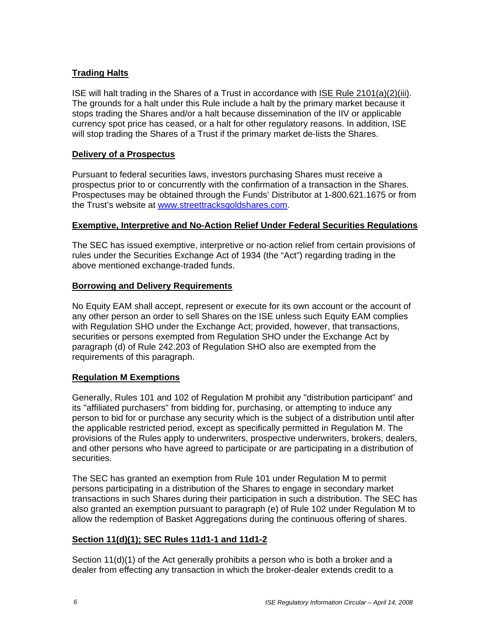## **Trading Halts**

ISE will halt trading in the Shares of a Trust in accordance with ISE Rule 2101(a)(2)(iii). The grounds for a halt under this Rule include a halt by the primary market because it stops trading the Shares and/or a halt because dissemination of the IIV or applicable currency spot price has ceased, or a halt for other regulatory reasons. In addition, ISE will stop trading the Shares of a Trust if the primary market de-lists the Shares.

### **Delivery of a Prospectus**

Pursuant to federal securities laws, investors purchasing Shares must receive a prospectus prior to or concurrently with the confirmation of a transaction in the Shares. Prospectuses may be obtained through the Funds' Distributor at 1-800.621.1675 or from the Trust's website at www.streettracksgoldshares.com.

### **Exemptive, Interpretive and No-Action Relief Under Federal Securities Regulations**

The SEC has issued exemptive, interpretive or no-action relief from certain provisions of rules under the Securities Exchange Act of 1934 (the "Act") regarding trading in the above mentioned exchange-traded funds.

### **Borrowing and Delivery Requirements**

No Equity EAM shall accept, represent or execute for its own account or the account of any other person an order to sell Shares on the ISE unless such Equity EAM complies with Regulation SHO under the Exchange Act; provided, however, that transactions, securities or persons exempted from Regulation SHO under the Exchange Act by paragraph (d) of Rule 242.203 of Regulation SHO also are exempted from the requirements of this paragraph.

## **Regulation M Exemptions**

Generally, Rules 101 and 102 of Regulation M prohibit any "distribution participant" and its "affiliated purchasers" from bidding for, purchasing, or attempting to induce any person to bid for or purchase any security which is the subject of a distribution until after the applicable restricted period, except as specifically permitted in Regulation M. The provisions of the Rules apply to underwriters, prospective underwriters, brokers, dealers, and other persons who have agreed to participate or are participating in a distribution of securities.

The SEC has granted an exemption from Rule 101 under Regulation M to permit persons participating in a distribution of the Shares to engage in secondary market transactions in such Shares during their participation in such a distribution. The SEC has also granted an exemption pursuant to paragraph (e) of Rule 102 under Regulation M to allow the redemption of Basket Aggregations during the continuous offering of shares.

## **Section 11(d)(1); SEC Rules 11d1-1 and 11d1-2**

Section 11(d)(1) of the Act generally prohibits a person who is both a broker and a dealer from effecting any transaction in which the broker-dealer extends credit to a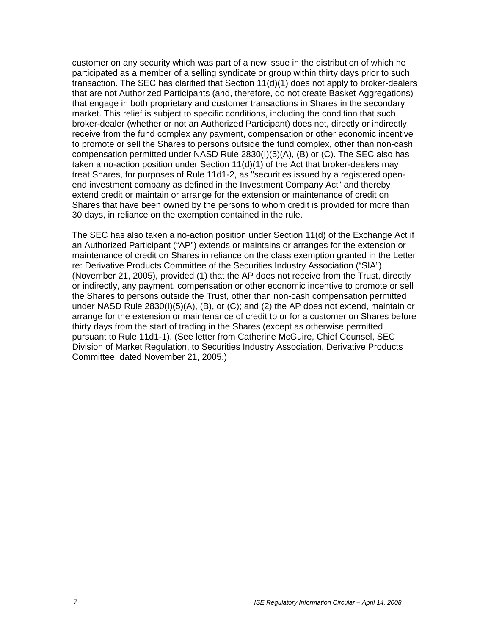customer on any security which was part of a new issue in the distribution of which he participated as a member of a selling syndicate or group within thirty days prior to such transaction. The SEC has clarified that Section 11(d)(1) does not apply to broker-dealers that are not Authorized Participants (and, therefore, do not create Basket Aggregations) that engage in both proprietary and customer transactions in Shares in the secondary market. This relief is subject to specific conditions, including the condition that such broker-dealer (whether or not an Authorized Participant) does not, directly or indirectly, receive from the fund complex any payment, compensation or other economic incentive to promote or sell the Shares to persons outside the fund complex, other than non-cash compensation permitted under NASD Rule 2830(I)(5)(A), (B) or (C). The SEC also has taken a no-action position under Section 11(d)(1) of the Act that broker-dealers may treat Shares, for purposes of Rule 11d1-2, as "securities issued by a registered openend investment company as defined in the Investment Company Act" and thereby extend credit or maintain or arrange for the extension or maintenance of credit on Shares that have been owned by the persons to whom credit is provided for more than 30 days, in reliance on the exemption contained in the rule.

The SEC has also taken a no-action position under Section 11(d) of the Exchange Act if an Authorized Participant ("AP") extends or maintains or arranges for the extension or maintenance of credit on Shares in reliance on the class exemption granted in the Letter re: Derivative Products Committee of the Securities Industry Association ("SIA") (November 21, 2005), provided (1) that the AP does not receive from the Trust, directly or indirectly, any payment, compensation or other economic incentive to promote or sell the Shares to persons outside the Trust, other than non-cash compensation permitted under NASD Rule 2830(I)(5)(A), (B), or (C); and (2) the AP does not extend, maintain or arrange for the extension or maintenance of credit to or for a customer on Shares before thirty days from the start of trading in the Shares (except as otherwise permitted pursuant to Rule 11d1-1). (See letter from Catherine McGuire, Chief Counsel, SEC Division of Market Regulation, to Securities Industry Association, Derivative Products Committee, dated November 21, 2005.)